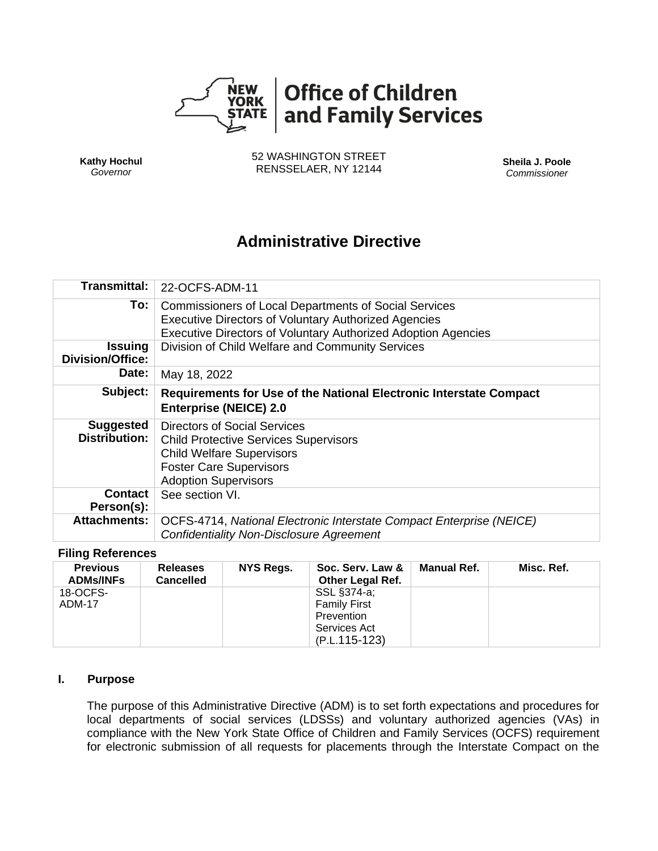

**Kathy Hochul** *Governor*

52 WASHINGTON STREET RENSSELAER, NY 12144 **Sheila J. Poole**

*Commissioner*

# **Administrative Directive**

| Transmittal:                              | 22-OCFS-ADM-11                                                                                                                                                                                      |  |  |  |  |
|-------------------------------------------|-----------------------------------------------------------------------------------------------------------------------------------------------------------------------------------------------------|--|--|--|--|
| To:                                       | <b>Commissioners of Local Departments of Social Services</b><br><b>Executive Directors of Voluntary Authorized Agencies</b><br><b>Executive Directors of Voluntary Authorized Adoption Agencies</b> |  |  |  |  |
| <b>Issuing</b><br><b>Division/Office:</b> | Division of Child Welfare and Community Services                                                                                                                                                    |  |  |  |  |
| Date:                                     | May 18, 2022                                                                                                                                                                                        |  |  |  |  |
| Subject:                                  | Requirements for Use of the National Electronic Interstate Compact<br><b>Enterprise (NEICE) 2.0</b>                                                                                                 |  |  |  |  |
| <b>Suggested</b><br><b>Distribution:</b>  | Directors of Social Services<br><b>Child Protective Services Supervisors</b><br><b>Child Welfare Supervisors</b><br><b>Foster Care Supervisors</b><br><b>Adoption Supervisors</b>                   |  |  |  |  |
| <b>Contact</b><br>Person(s):              | See section VI.                                                                                                                                                                                     |  |  |  |  |
| <b>Attachments:</b>                       | OCFS-4714, National Electronic Interstate Compact Enterprise (NEICE)<br><b>Confidentiality Non-Disclosure Agreement</b>                                                                             |  |  |  |  |

#### **Filing References**

| <b>Previous</b><br><b>ADMs/INFs</b> | <b>Releases</b><br><b>Cancelled</b> | NYS Regs. | Soc. Serv. Law &<br><b>Other Legal Ref.</b>                                       | <b>Manual Ref.</b> | Misc. Ref. |
|-------------------------------------|-------------------------------------|-----------|-----------------------------------------------------------------------------------|--------------------|------------|
| 18-OCFS-<br>ADM-17                  |                                     |           | SSL §374-a;<br><b>Family First</b><br>Prevention<br>Services Act<br>(P.L.115-123) |                    |            |

### **I. Purpose**

The purpose of this Administrative Directive (ADM) is to set forth expectations and procedures for local departments of social services (LDSSs) and voluntary authorized agencies (VAs) in compliance with the New York State Office of Children and Family Services (OCFS) requirement for electronic submission of all requests for placements through the Interstate Compact on the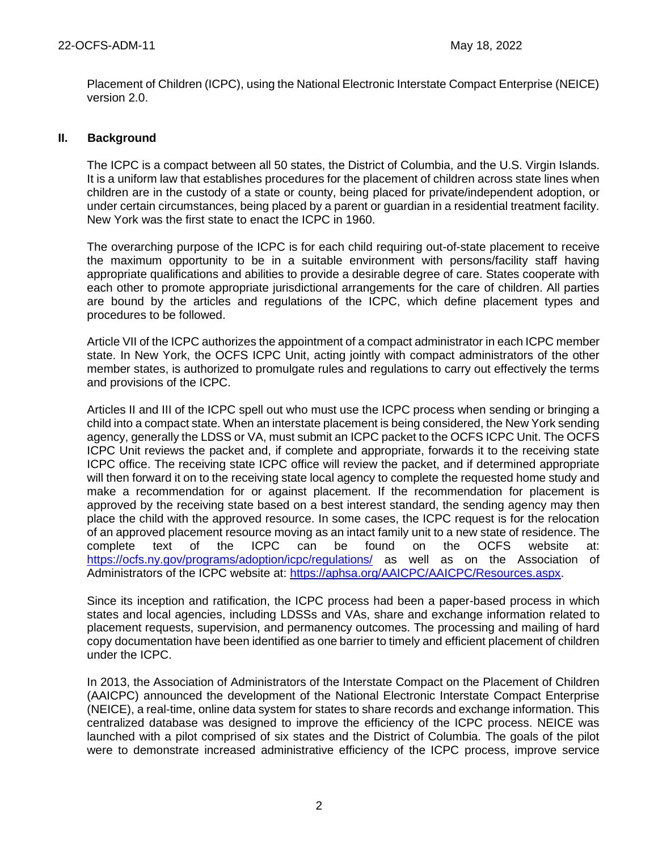Placement of Children (ICPC), using the National Electronic Interstate Compact Enterprise (NEICE) version 2.0.

## **II. Background**

The ICPC is a compact between all 50 states, the District of Columbia, and the U.S. Virgin Islands. It is a uniform law that establishes procedures for the placement of children across state lines when children are in the custody of a state or county, being placed for private/independent adoption, or under certain circumstances, being placed by a parent or guardian in a residential treatment facility. New York was the first state to enact the ICPC in 1960.

The overarching purpose of the ICPC is for each child requiring out-of-state placement to receive the maximum opportunity to be in a suitable environment with persons/facility staff having appropriate qualifications and abilities to provide a desirable degree of care. States cooperate with each other to promote appropriate jurisdictional arrangements for the care of children. All parties are bound by the articles and regulations of the ICPC, which define placement types and procedures to be followed.

Article VII of the ICPC authorizes the appointment of a compact administrator in each ICPC member state. In New York, the OCFS ICPC Unit, acting jointly with compact administrators of the other member states, is authorized to promulgate rules and regulations to carry out effectively the terms and provisions of the ICPC.

Articles II and III of the ICPC spell out who must use the ICPC process when sending or bringing a child into a compact state. When an interstate placement is being considered, the New York sending agency, generally the LDSS or VA, must submit an ICPC packet to the OCFS ICPC Unit. The OCFS ICPC Unit reviews the packet and, if complete and appropriate, forwards it to the receiving state ICPC office. The receiving state ICPC office will review the packet, and if determined appropriate will then forward it on to the receiving state local agency to complete the requested home study and make a recommendation for or against placement. If the recommendation for placement is approved by the receiving state based on a best interest standard, the sending agency may then place the child with the approved resource. In some cases, the ICPC request is for the relocation of an approved placement resource moving as an intact family unit to a new state of residence. The complete text of the ICPC can be found on the OCFS website at: <https://ocfs.ny.gov/programs/adoption/icpc/regulations/> as well as on the Association of Administrators of the ICPC website at: [https://aphsa.org/AAICPC/AAICPC/Resources.aspx.](https://aphsa.org/AAICPC/AAICPC/Resources.aspx)

Since its inception and ratification, the ICPC process had been a paper-based process in which states and local agencies, including LDSSs and VAs, share and exchange information related to placement requests, supervision, and permanency outcomes. The processing and mailing of hard copy documentation have been identified as one barrier to timely and efficient placement of children under the ICPC.

In 2013, the Association of Administrators of the Interstate Compact on the Placement of Children (AAICPC) announced the development of the National Electronic Interstate Compact Enterprise (NEICE), a real-time, online data system for states to share records and exchange information. This centralized database was designed to improve the efficiency of the ICPC process. NEICE was launched with a pilot comprised of six states and the District of Columbia. The goals of the pilot were to demonstrate increased administrative efficiency of the ICPC process, improve service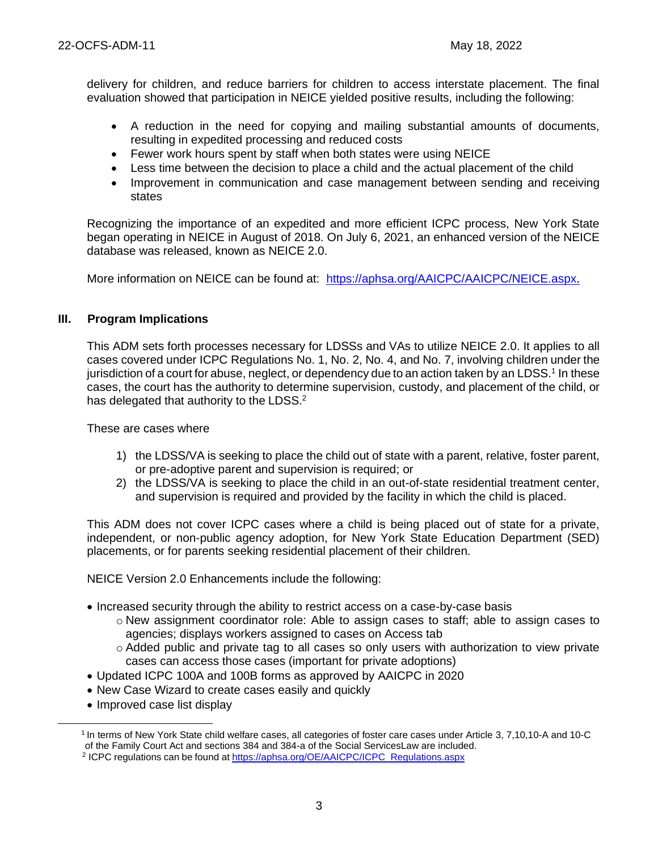delivery for children, and reduce barriers for children to access interstate placement. The final evaluation showed that participation in NEICE yielded positive results, including the following:

- A reduction in the need for copying and mailing substantial amounts of documents, resulting in expedited processing and reduced costs
- Fewer work hours spent by staff when both states were using NEICE
- Less time between the decision to place a child and the actual placement of the child
- Improvement in communication and case management between sending and receiving states

Recognizing the importance of an expedited and more efficient ICPC process, New York State began operating in NEICE in August of 2018. On July 6, 2021, an enhanced version of the NEICE database was released, known as NEICE 2.0.

More information on NEICE can be found at: <https://aphsa.org/AAICPC/AAICPC/NEICE.aspx>.

## **III. Program Implications**

This ADM sets forth processes necessary for LDSSs and VAs to utilize NEICE 2.0. It applies to all cases covered under ICPC Regulations No. 1, No. 2, No. 4, and No. 7, involving children under the jurisdiction of a court for abuse, neglect, or dependency due to an action taken by an LDSS.<sup>1</sup> In these cases, the court has the authority to determine supervision, custody, and placement of the child, or has delegated that authority to the LDSS.<sup>2</sup>

These are cases where

- 1) the LDSS/VA is seeking to place the child out of state with a parent, relative, foster parent, or pre-adoptive parent and supervision is required; or
- 2) the LDSS/VA is seeking to place the child in an out-of-state residential treatment center, and supervision is required and provided by the facility in which the child is placed.

This ADM does not cover ICPC cases where a child is being placed out of state for a private, independent, or non-public agency adoption, for New York State Education Department (SED) placements, or for parents seeking residential placement of their children.

NEICE Version 2.0 Enhancements include the following:

- Increased security through the ability to restrict access on a case-by-case basis
	- o New assignment coordinator role: Able to assign cases to staff; able to assign cases to agencies; displays workers assigned to cases on Access tab
	- o Added public and private tag to all cases so only users with authorization to view private cases can access those cases (important for private adoptions)
- Updated ICPC 100A and 100B forms as approved by AAICPC in 2020
- New Case Wizard to create cases easily and quickly
- Improved case list display

<sup>1</sup>In terms of New York State child welfare cases, all categories of foster care cases under Article 3, 7,10,10-A and 10-C of the Family Court Act and sections 384 and 384-a of the Social ServicesLaw are included.

<sup>&</sup>lt;sup>2</sup> ICPC regulations can be found at [https://aphsa.org/OE/AAICPC/ICPC\\_Regulations.aspx](https://aphsa.org/OE/AAICPC/ICPC_Regulations.aspx)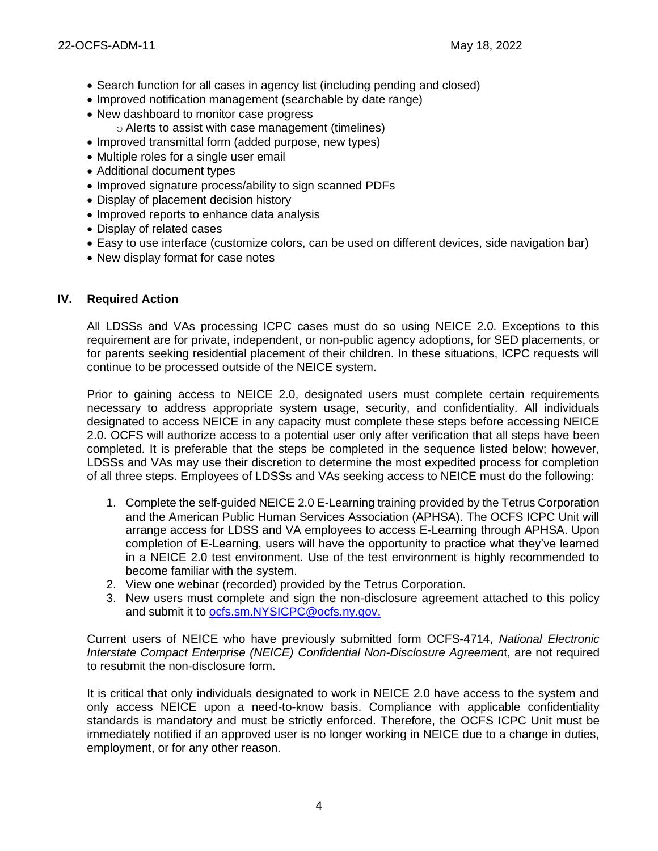- Search function for all cases in agency list (including pending and closed)
- Improved notification management (searchable by date range)
- New dashboard to monitor case progress
	- o Alerts to assist with case management (timelines)
- Improved transmittal form (added purpose, new types)
- Multiple roles for a single user email
- Additional document types
- Improved signature process/ability to sign scanned PDFs
- Display of placement decision history
- Improved reports to enhance data analysis
- Display of related cases
- Easy to use interface (customize colors, can be used on different devices, side navigation bar)
- New display format for case notes

# **IV. Required Action**

All LDSSs and VAs processing ICPC cases must do so using NEICE 2.0. Exceptions to this requirement are for private, independent, or non-public agency adoptions, for SED placements, or for parents seeking residential placement of their children. In these situations, ICPC requests will continue to be processed outside of the NEICE system.

Prior to gaining access to NEICE 2.0, designated users must complete certain requirements necessary to address appropriate system usage, security, and confidentiality. All individuals designated to access NEICE in any capacity must complete these steps before accessing NEICE 2.0. OCFS will authorize access to a potential user only after verification that all steps have been completed. It is preferable that the steps be completed in the sequence listed below; however, LDSSs and VAs may use their discretion to determine the most expedited process for completion of all three steps. Employees of LDSSs and VAs seeking access to NEICE must do the following:

- 1. Complete the self-guided NEICE 2.0 E-Learning training provided by the Tetrus Corporation and the American Public Human Services Association (APHSA). The OCFS ICPC Unit will arrange access for LDSS and VA employees to access E-Learning through APHSA. Upon completion of E-Learning, users will have the opportunity to practice what they've learned in a NEICE 2.0 test environment. Use of the test environment is highly recommended to become familiar with the system.
- 2. View one webinar (recorded) provided by the Tetrus Corporation.
- 3. New users must complete and sign the non-disclosure agreement attached to this policy and submit it to [ocfs.sm.NYSICPC@ocfs.ny.gov.](mailto:ocfs.sm.NYSICPC@ocfs.ny.gov)

Current users of NEICE who have previously submitted form OCFS-4714, *National Electronic Interstate Compact Enterprise (NEICE) Confidential Non-Disclosure Agreemen*t, are not required to resubmit the non-disclosure form.

It is critical that only individuals designated to work in NEICE 2.0 have access to the system and only access NEICE upon a need-to-know basis. Compliance with applicable confidentiality standards is mandatory and must be strictly enforced. Therefore, the OCFS ICPC Unit must be immediately notified if an approved user is no longer working in NEICE due to a change in duties, employment, or for any other reason.